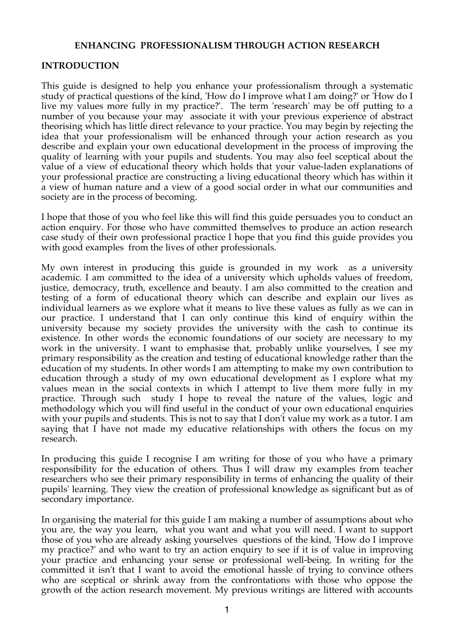## **ENHANCING PROFESSIONALISM THROUGH ACTION RESEARCH**

## **INTRODUCTION**

This guide is designed to help you enhance your professionalism through a systematic study of practical questions of the kind, 'How do I improve what I am doing?' or 'How do I live my values more fully in my practice?'. The term 'research' may be off putting to a number of you because your may associate it with your previous experience of abstract theorising which has little direct relevance to your practice. You may begin by rejecting the idea that your professionalism will be enhanced through your action research as you describe and explain your own educational development in the process of improving the quality of learning with your pupils and students. You may also feel sceptical about the value of a view of educational theory which holds that your value-laden explanations of your professional practice are constructing a living educational theory which has within it a view of human nature and a view of a good social order in what our communities and society are in the process of becoming.

I hope that those of you who feel like this will find this guide persuades you to conduct an action enquiry. For those who have committed themselves to produce an action research case study of their own professional practice I hope that you find this guide provides you with good examples from the lives of other professionals.

My own interest in producing this guide is grounded in my work as a university academic. I am committed to the idea of a university which upholds values of freedom, justice, democracy, truth, excellence and beauty. I am also committed to the creation and testing of a form of educational theory which can describe and explain our lives as individual learners as we explore what it means to live these values as fully as we can in our practice. I understand that I can only continue this kind of enquiry within the university because my society provides the university with the cash to continue its existence. In other words the economic foundations of our society are necessary to my work in the university. I want to emphasise that, probably unlike yourselves, I see my primary responsibility as the creation and testing of educational knowledge rather than the education of my students. In other words I am attempting to make my own contribution to education through a study of my own educational development as I explore what my values mean in the social contexts in which I attempt to live them more fully in my practice. Through such study I hope to reveal the nature of the values, logic and methodology which you will find useful in the conduct of your own educational enquiries with your pupils and students. This is not to say that I don't value my work as a tutor. I am saying that I have not made my educative relationships with others the focus on my research.

In producing this guide I recognise I am writing for those of you who have a primary responsibility for the education of others. Thus I will draw my examples from teacher researchers who see their primary responsibility in terms of enhancing the quality of their pupils' learning. They view the creation of professional knowledge as significant but as of secondary importance.

In organising the material for this guide I am making a number of assumptions about who you are, the way you learn, what you want and what you will need. I want to support those of you who are already asking yourselves questions of the kind, 'How do I improve my practice?' and who want to try an action enquiry to see if it is of value in improving your practice and enhancing your sense or professional well-being. In writing for the committed it isn't that I want to avoid the emotional hassle of trying to convince others who are sceptical or shrink away from the confrontations with those who oppose the growth of the action research movement. My previous writings are littered with accounts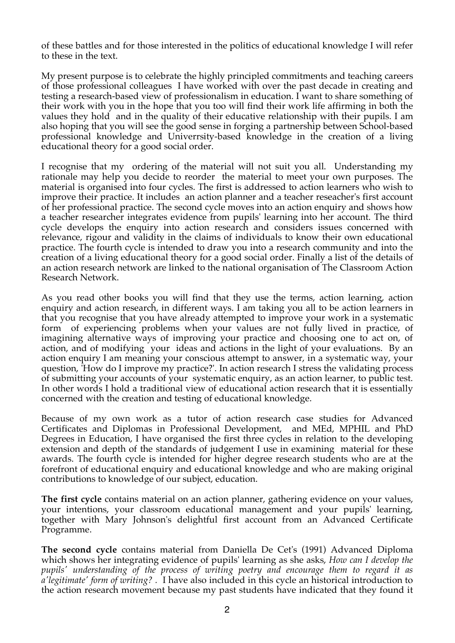of these battles and for those interested in the politics of educational knowledge I will refer to these in the text.

My present purpose is to celebrate the highly principled commitments and teaching careers of those professional colleagues I have worked with over the past decade in creating and testing a research-based view of professionalism in education. I want to share something of their work with you in the hope that you too will find their work life affirming in both the values they hold and in the quality of their educative relationship with their pupils. I am also hoping that you will see the good sense in forging a partnership between School-based professional knowledge and Univerrsity-based knowledge in the creation of a living educational theory for a good social order.

I recognise that my ordering of the material will not suit you all. Understanding my rationale may help you decide to reorder the material to meet your own purposes. The material is organised into four cycles. The first is addressed to action learners who wish to improve their practice. It includes an action planner and a teacher reseacher's first account of her professional practice. The second cycle moves into an action enquiry and shows how a teacher researcher integrates evidence from pupils' learning into her account. The third cycle develops the enquiry into action research and considers issues concerned with relevance, rigour and validity in the claims of individuals to know their own educational practice. The fourth cycle is intended to draw you into a research community and into the creation of a living educational theory for a good social order. Finally a list of the details of an action research network are linked to the national organisation of The Classroom Action Research Network.

As you read other books you will find that they use the terms, action learning, action enquiry and action research, in different ways. I am taking you all to be action learners in that you recognise that you have already attempted to improve your work in a systematic form of experiencing problems when your values are not fully lived in practice, of imagining alternative ways of improving your practice and choosing one to act on, of action, and of modifying your ideas and actions in the light of your evaluations. By an action enquiry I am meaning your conscious attempt to answer, in a systematic way, your question, 'How do I improve my practice?'. In action research I stress the validating process of submitting your accounts of your systematic enquiry, as an action learner, to public test. In other words I hold a traditional view of educational action research that it is essentially concerned with the creation and testing of educational knowledge.

Because of my own work as a tutor of action research case studies for Advanced Certificates and Diplomas in Professional Development, and MEd, MPHIL and PhD Degrees in Education, I have organised the first three cycles in relation to the developing extension and depth of the standards of judgement I use in examining material for these awards. The fourth cycle is intended for higher degree research students who are at the forefront of educational enquiry and educational knowledge and who are making original contributions to knowledge of our subject, education.

**The first cycle** contains material on an action planner, gathering evidence on your values, your intentions, your classroom educational management and your pupils' learning, together with Mary Johnson's delightful first account from an Advanced Certificate Programme.

**The second cycle** contains material from Daniella De Cet's (1991) Advanced Diploma which shows her integrating evidence of pupils' learning as she asks, *How can I develop the pupils' understanding of the process of writing poetry and encourage them to regard it as a'legitimate' form of writing? .* I have also included in this cycle an historical introduction to the action research movement because my past students have indicated that they found it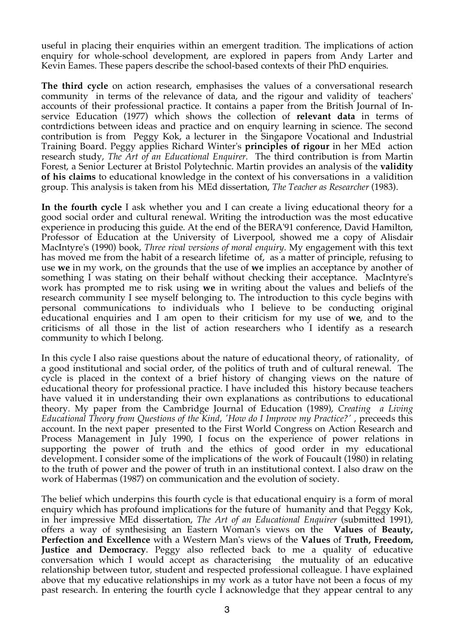useful in placing their enquiries within an emergent tradition. The implications of action enquiry for whole-school development, are explored in papers from Andy Larter and Kevin Eames. These papers describe the school-based contexts of their PhD enquiries.

**The third cycle** on action research, emphasises the values of a conversational research community in terms of the relevance of data, and the rigour and validity of teachers' accounts of their professional practice. It contains a paper from the British Journal of Inservice Education (1977) which shows the collection of **relevant data** in terms of contrdictions between ideas and practice and on enquiry learning in science. The second contribution is from Peggy Kok, a lecturer in the Singapore Vocational and Industrial Training Board. Peggy applies Richard Winter's **principles of rigour** in her MEd action research study, *The Art of an Educational Enquirer.* The third contribution is from Martin Forest, a Senior Lecturer at Bristol Polytechnic. Martin provides an analysis of the **validity of his claims** to educational knowledge in the context of his conversations in a validition group. This analysis is taken from his MEd dissertation, *The Teacher as Researcher* (1983).

**In the fourth cycle** I ask whether you and I can create a living educational theory for a good social order and cultural renewal. Writing the introduction was the most educative experience in producing this guide. At the end of the BERA'91 conference, David Hamilton, Professor of Education at the University of Liverpool, showed me a copy of Alisdair MacIntyre's (1990) book, *Three rival versions of moral enquiry*. My engagement with this text has moved me from the habit of a research lifetime of, as a matter of principle, refusing to use **we** in my work, on the grounds that the use of **we** implies an acceptance by another of something I was stating on their behalf without checking their acceptance. MacIntyre's work has prompted me to risk using **we** in writing about the values and beliefs of the research community I see myself belonging to. The introduction to this cycle begins with personal communications to individuals who I believe to be conducting original educational enquiries and I am open to their criticism for my use of **we**, and to the criticisms of all those in the list of action researchers who I identify as a research community to which I belong.

In this cycle I also raise questions about the nature of educational theory, of rationality, of a good institutional and social order, of the politics of truth and of cultural renewal. The cycle is placed in the context of a brief history of changing views on the nature of educational theory for professional practice. I have included this history because teachers have valued it in understanding their own explanations as contributions to educational theory. My paper from the Cambridge Journal of Education (1989), *Creating a Living Educational Theory from Questions of the Kind, 'How do I Improve my Practice?' ,* preceeds this account. In the next paper presented to the First World Congress on Action Research and Process Management in July 1990, I focus on the experience of power relations in supporting the power of truth and the ethics of good order in my educational development. I consider some of the implications of the work of Foucault (1980) in relating to the truth of power and the power of truth in an institutional context. I also draw on the work of Habermas (1987) on communication and the evolution of society.

The belief which underpins this fourth cycle is that educational enquiry is a form of moral enquiry which has profound implications for the future of humanity and that Peggy Kok, in her impressive MEd dissertation, *The Art of an Educational Enquirer* (submitted 1991), offers a way of synthesising an Eastern Woman's views on the **Values** of **Beauty, Perfection and Excellence** with a Western Man's views of the **Values** of **Truth, Freedom, Justice and Democracy**. Peggy also reflected back to me a quality of educative conversation which I would accept as characterising the mutuality of an educative relationship between tutor, student and respected professional colleague. I have explained above that my educative relationships in my work as a tutor have not been a focus of my past research. In entering the fourth cycle I acknowledge that they appear central to any